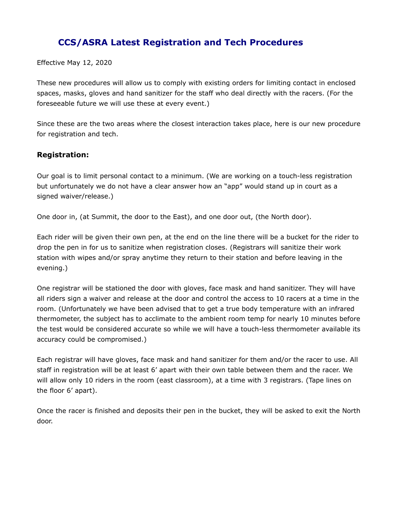## **CCS/ASRA Latest Registration and Tech Procedures**

Effective May 12, 2020

These new procedures will allow us to comply with existing orders for limiting contact in enclosed spaces, masks, gloves and hand sanitizer for the staff who deal directly with the racers. (For the foreseeable future we will use these at every event.)

Since these are the two areas where the closest interaction takes place, here is our new procedure for registration and tech.

## **Registration:**

Our goal is to limit personal contact to a minimum. (We are working on a touch-less registration but unfortunately we do not have a clear answer how an "app" would stand up in court as a signed waiver/release.)

One door in, (at Summit, the door to the East), and one door out, (the North door).

Each rider will be given their own pen, at the end on the line there will be a bucket for the rider to drop the pen in for us to sanitize when registration closes. (Registrars will sanitize their work station with wipes and/or spray anytime they return to their station and before leaving in the evening.)

One registrar will be stationed the door with gloves, face mask and hand sanitizer. They will have all riders sign a waiver and release at the door and control the access to 10 racers at a time in the room. (Unfortunately we have been advised that to get a true body temperature with an infrared thermometer, the subject has to acclimate to the ambient room temp for nearly 10 minutes before the test would be considered accurate so while we will have a touch-less thermometer available its accuracy could be compromised.)

Each registrar will have gloves, face mask and hand sanitizer for them and/or the racer to use. All staff in registration will be at least 6' apart with their own table between them and the racer. We will allow only 10 riders in the room (east classroom), at a time with 3 registrars. (Tape lines on the floor 6' apart).

Once the racer is finished and deposits their pen in the bucket, they will be asked to exit the North door.